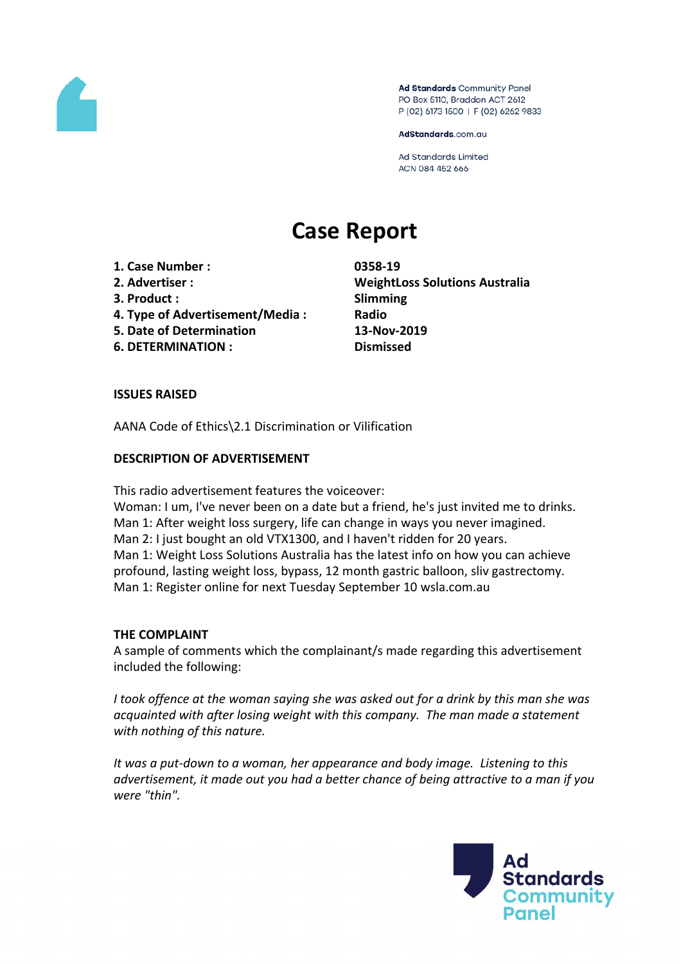

Ad Standards Community Panel PO Box 5110, Braddon ACT 2612 P (02) 6173 1500 | F (02) 6262 9833

AdStandards.com.au

**Ad Standards Limited** ACN 084 452 666

# **Case Report**

- **1. Case Number : 0358-19**
- 
- **3. Product : Slimming**
- **4. Type of Advertisement/Media : Radio**
- **5. Date of Determination 13-Nov-2019**
- **6. DETERMINATION : Dismissed**

**2. Advertiser : WeightLoss Solutions Australia**

## **ISSUES RAISED**

AANA Code of Ethics\2.1 Discrimination or Vilification

## **DESCRIPTION OF ADVERTISEMENT**

This radio advertisement features the voiceover:

Woman: I um, I've never been on a date but a friend, he's just invited me to drinks. Man 1: After weight loss surgery, life can change in ways you never imagined. Man 2: I just bought an old VTX1300, and I haven't ridden for 20 years. Man 1: Weight Loss Solutions Australia has the latest info on how you can achieve profound, lasting weight loss, bypass, 12 month gastric balloon, sliv gastrectomy. Man 1: Register online for next Tuesday September 10 wsla.com.au

#### **THE COMPLAINT**

A sample of comments which the complainant/s made regarding this advertisement included the following:

*I took offence at the woman saying she was asked out for a drink by this man she was acquainted with after losing weight with this company. The man made a statement with nothing of this nature.*

*It was a put-down to a woman, her appearance and body image. Listening to this advertisement, it made out you had a better chance of being attractive to a man if you were "thin".*

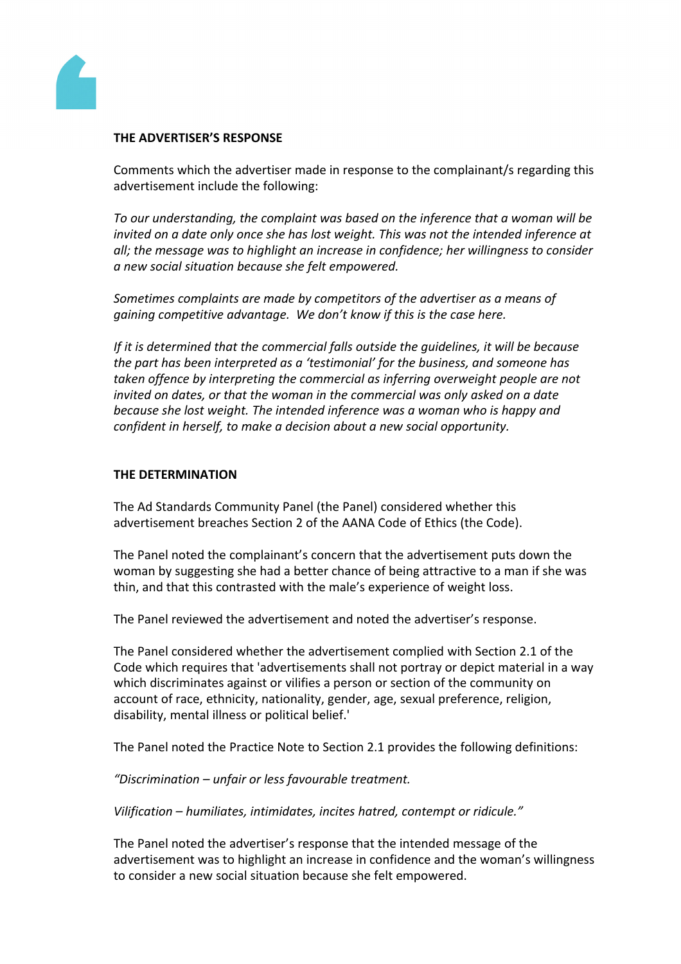

#### **THE ADVERTISER'S RESPONSE**

Comments which the advertiser made in response to the complainant/s regarding this advertisement include the following:

*To our understanding, the complaint was based on the inference that a woman will be invited on a date only once she has lost weight. This was not the intended inference at all; the message was to highlight an increase in confidence; her willingness to consider a new social situation because she felt empowered.*

*Sometimes complaints are made by competitors of the advertiser as a means of gaining competitive advantage. We don't know if this is the case here.*

*If it is determined that the commercial falls outside the guidelines, it will be because the part has been interpreted as a 'testimonial' for the business, and someone has taken offence by interpreting the commercial as inferring overweight people are not invited on dates, or that the woman in the commercial was only asked on a date because she lost weight. The intended inference was a woman who is happy and confident in herself, to make a decision about a new social opportunity.*

### **THE DETERMINATION**

The Ad Standards Community Panel (the Panel) considered whether this advertisement breaches Section 2 of the AANA Code of Ethics (the Code).

The Panel noted the complainant's concern that the advertisement puts down the woman by suggesting she had a better chance of being attractive to a man if she was thin, and that this contrasted with the male's experience of weight loss.

The Panel reviewed the advertisement and noted the advertiser's response.

The Panel considered whether the advertisement complied with Section 2.1 of the Code which requires that 'advertisements shall not portray or depict material in a way which discriminates against or vilifies a person or section of the community on account of race, ethnicity, nationality, gender, age, sexual preference, religion, disability, mental illness or political belief.'

The Panel noted the Practice Note to Section 2.1 provides the following definitions:

*"Discrimination – unfair or less favourable treatment.*

*Vilification – humiliates, intimidates, incites hatred, contempt or ridicule."* 

The Panel noted the advertiser's response that the intended message of the advertisement was to highlight an increase in confidence and the woman's willingness to consider a new social situation because she felt empowered.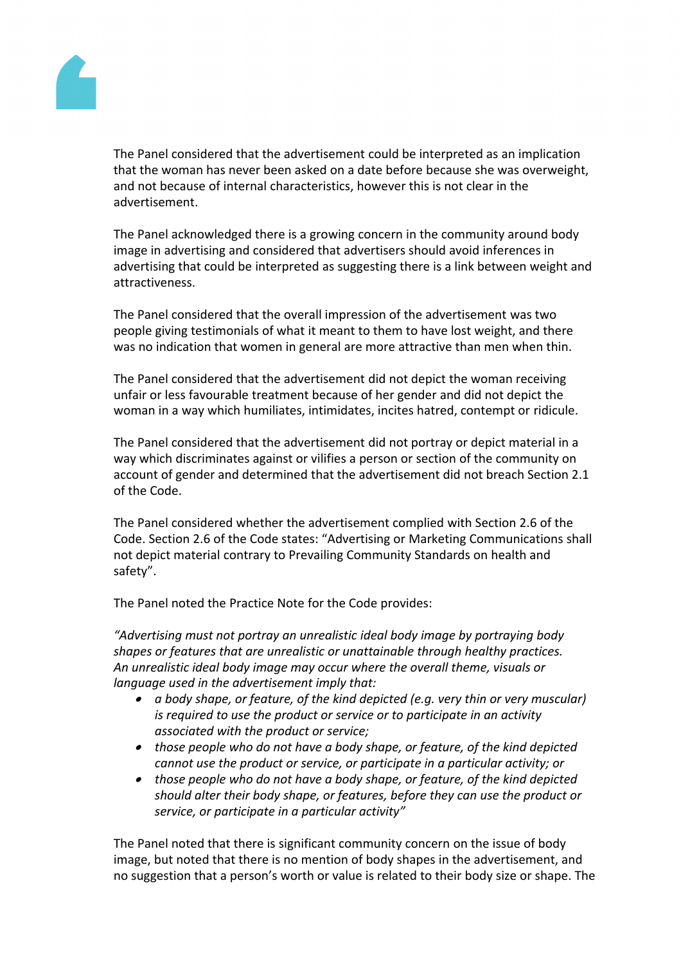

The Panel considered that the advertisement could be interpreted as an implication that the woman has never been asked on a date before because she was overweight, and not because of internal characteristics, however this is not clear in the advertisement.

The Panel acknowledged there is a growing concern in the community around body image in advertising and considered that advertisers should avoid inferences in advertising that could be interpreted as suggesting there is a link between weight and attractiveness.

The Panel considered that the overall impression of the advertisement was two people giving testimonials of what it meant to them to have lost weight, and there was no indication that women in general are more attractive than men when thin.

The Panel considered that the advertisement did not depict the woman receiving unfair or less favourable treatment because of her gender and did not depict the woman in a way which humiliates, intimidates, incites hatred, contempt or ridicule.

The Panel considered that the advertisement did not portray or depict material in a way which discriminates against or vilifies a person or section of the community on account of gender and determined that the advertisement did not breach Section 2.1 of the Code.

The Panel considered whether the advertisement complied with Section 2.6 of the Code. Section 2.6 of the Code states: "Advertising or Marketing Communications shall not depict material contrary to Prevailing Community Standards on health and safety".

The Panel noted the Practice Note for the Code provides:

*"Advertising must not portray an unrealistic ideal body image by portraying body shapes or features that are unrealistic or unattainable through healthy practices. An unrealistic ideal body image may occur where the overall theme, visuals or language used in the advertisement imply that:*

- *a body shape, or feature, of the kind depicted (e.g. very thin or very muscular) is required to use the product or service or to participate in an activity associated with the product or service;*
- *those people who do not have a body shape, or feature, of the kind depicted cannot use the product or service, or participate in a particular activity; or*
- *those people who do not have a body shape, or feature, of the kind depicted should alter their body shape, or features, before they can use the product or service, or participate in a particular activity"*

The Panel noted that there is significant community concern on the issue of body image, but noted that there is no mention of body shapes in the advertisement, and no suggestion that a person's worth or value is related to their body size or shape. The